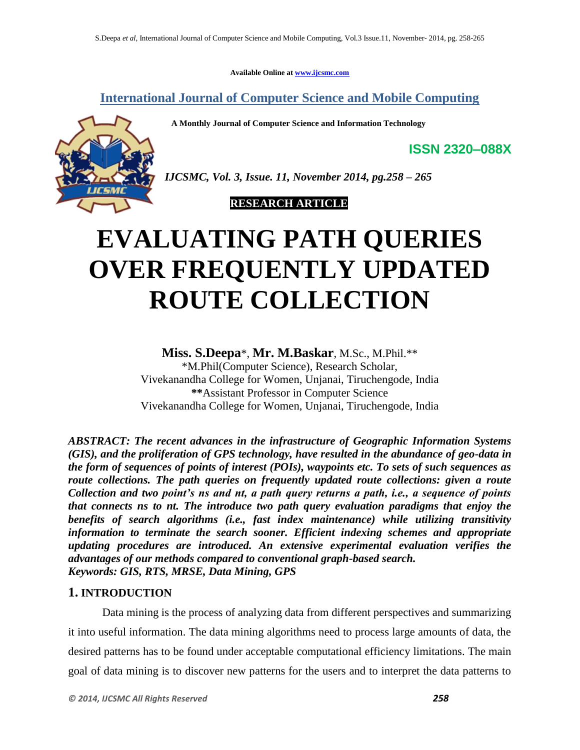**Available Online at [www.ijcsmc.com](http://www.ijcsmc.com/)**

**International Journal of Computer Science and Mobile Computing**

 **A Monthly Journal of Computer Science and Information Technology**



*IJCSMC, Vol. 3, Issue. 11, November 2014, pg.258 – 265*

 **RESEARCH ARTICLE**

# **EVALUATING PATH QUERIES OVER FREQUENTLY UPDATED ROUTE COLLECTION**

**Miss. S.Deepa**\*, **Mr. M.Baskar**, M.Sc., M.Phil.\*\*

\*M.Phil(Computer Science), Research Scholar, Vivekanandha College for Women, Unjanai, Tiruchengode, India **\*\***Assistant Professor in Computer Science Vivekanandha College for Women, Unjanai, Tiruchengode, India

*ABSTRACT: The recent advances in the infrastructure of Geographic Information Systems (GIS), and the proliferation of GPS technology, have resulted in the abundance of geo-data in the form of sequences of points of interest (POIs), waypoints etc. To sets of such sequences as route collections. The path queries on frequently updated route collections: given a route Collection and two point's ns and nt, a path query returns a path, i.e., a sequence of points that connects ns to nt. The introduce two path query evaluation paradigms that enjoy the benefits of search algorithms (i.e., fast index maintenance) while utilizing transitivity information to terminate the search sooner. Efficient indexing schemes and appropriate updating procedures are introduced. An extensive experimental evaluation verifies the advantages of our methods compared to conventional graph-based search. Keywords: GIS, RTS, MRSE, Data Mining, GPS*

# **1. INTRODUCTION**

Data mining is the process of analyzing data from different perspectives and summarizing it into useful information. The data mining algorithms need to process large amounts of data, the desired patterns has to be found under acceptable computational efficiency limitations. The main goal of data mining is to discover new patterns for the users and to interpret the data patterns to

**ISSN 2320–088X**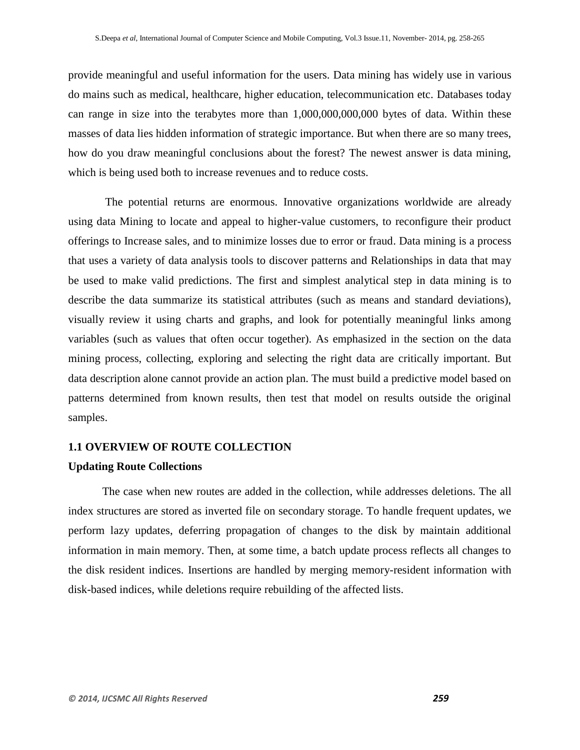provide meaningful and useful information for the users. Data mining has widely use in various do mains such as medical, healthcare, higher education, telecommunication etc. Databases today can range in size into the terabytes more than 1,000,000,000,000 bytes of data. Within these masses of data lies hidden information of strategic importance. But when there are so many trees, how do you draw meaningful conclusions about the forest? The newest answer is data mining, which is being used both to increase revenues and to reduce costs.

The potential returns are enormous. Innovative organizations worldwide are already using data Mining to locate and appeal to higher-value customers, to reconfigure their product offerings to Increase sales, and to minimize losses due to error or fraud. Data mining is a process that uses a variety of data analysis tools to discover patterns and Relationships in data that may be used to make valid predictions. The first and simplest analytical step in data mining is to describe the data summarize its statistical attributes (such as means and standard deviations), visually review it using charts and graphs, and look for potentially meaningful links among variables (such as values that often occur together). As emphasized in the section on the data mining process, collecting, exploring and selecting the right data are critically important. But data description alone cannot provide an action plan. The must build a predictive model based on patterns determined from known results, then test that model on results outside the original samples.

### **1.1 OVERVIEW OF ROUTE COLLECTION**

## **Updating Route Collections**

The case when new routes are added in the collection, while addresses deletions. The all index structures are stored as inverted file on secondary storage. To handle frequent updates, we perform lazy updates, deferring propagation of changes to the disk by maintain additional information in main memory. Then, at some time, a batch update process reflects all changes to the disk resident indices. Insertions are handled by merging memory-resident information with disk-based indices, while deletions require rebuilding of the affected lists.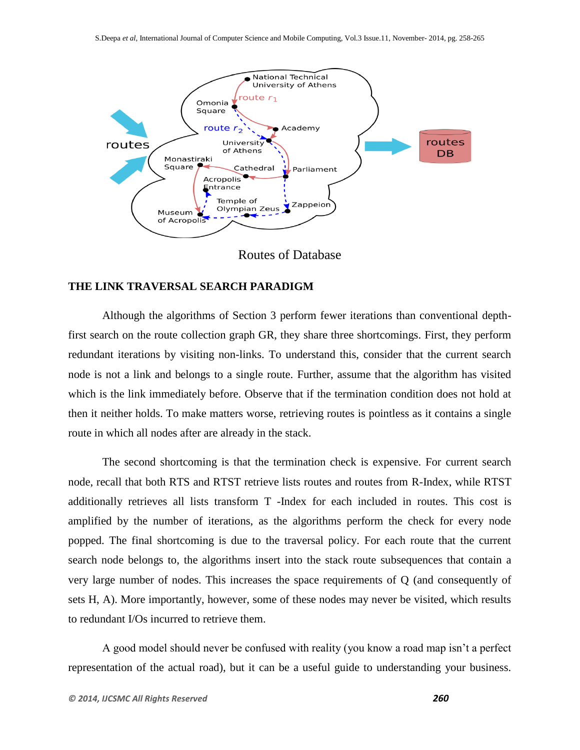

## Routes of Database

# **THE LINK TRAVERSAL SEARCH PARADIGM**

Although the algorithms of Section 3 perform fewer iterations than conventional depthfirst search on the route collection graph GR, they share three shortcomings. First, they perform redundant iterations by visiting non-links. To understand this, consider that the current search node is not a link and belongs to a single route. Further, assume that the algorithm has visited which is the link immediately before. Observe that if the termination condition does not hold at then it neither holds. To make matters worse, retrieving routes is pointless as it contains a single route in which all nodes after are already in the stack.

The second shortcoming is that the termination check is expensive. For current search node, recall that both RTS and RTST retrieve lists routes and routes from R-Index, while RTST additionally retrieves all lists transform T -Index for each included in routes. This cost is amplified by the number of iterations, as the algorithms perform the check for every node popped. The final shortcoming is due to the traversal policy. For each route that the current search node belongs to, the algorithms insert into the stack route subsequences that contain a very large number of nodes. This increases the space requirements of Q (and consequently of sets H, A). More importantly, however, some of these nodes may never be visited, which results to redundant I/Os incurred to retrieve them.

A good model should never be confused with reality (you know a road map isn't a perfect representation of the actual road), but it can be a useful guide to understanding your business.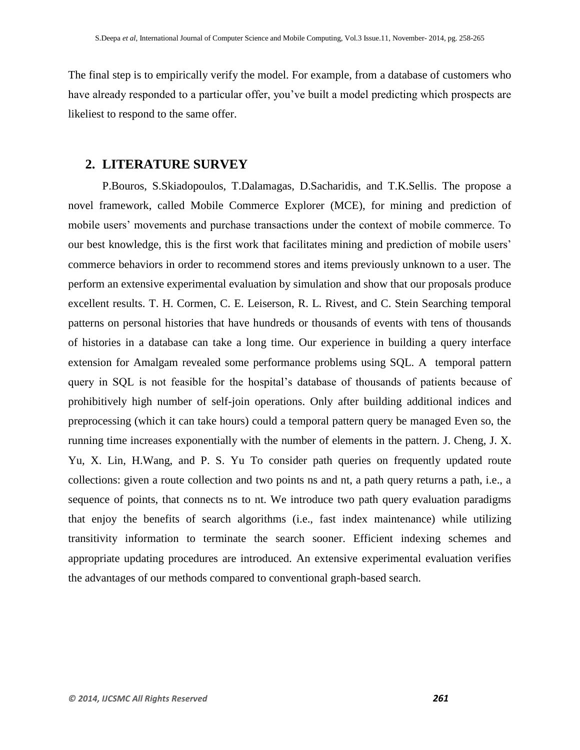The final step is to empirically verify the model. For example, from a database of customers who have already responded to a particular offer, you've built a model predicting which prospects are likeliest to respond to the same offer.

## **2. LITERATURE SURVEY**

P.Bouros, S.Skiadopoulos, T.Dalamagas, D.Sacharidis, and T.K.Sellis. The propose a novel framework, called Mobile Commerce Explorer (MCE), for mining and prediction of mobile users' movements and purchase transactions under the context of mobile commerce. To our best knowledge, this is the first work that facilitates mining and prediction of mobile users' commerce behaviors in order to recommend stores and items previously unknown to a user. The perform an extensive experimental evaluation by simulation and show that our proposals produce excellent results. T. H. Cormen, C. E. Leiserson, R. L. Rivest, and C. Stein Searching temporal patterns on personal histories that have hundreds or thousands of events with tens of thousands of histories in a database can take a long time. Our experience in building a query interface extension for Amalgam revealed some performance problems using SQL. A temporal pattern query in SQL is not feasible for the hospital's database of thousands of patients because of prohibitively high number of self-join operations. Only after building additional indices and preprocessing (which it can take hours) could a temporal pattern query be managed Even so, the running time increases exponentially with the number of elements in the pattern. J. Cheng, J. X. Yu, X. Lin, H.Wang, and P. S. Yu To consider path queries on frequently updated route collections: given a route collection and two points ns and nt, a path query returns a path, i.e., a sequence of points, that connects ns to nt. We introduce two path query evaluation paradigms that enjoy the benefits of search algorithms (i.e., fast index maintenance) while utilizing transitivity information to terminate the search sooner. Efficient indexing schemes and appropriate updating procedures are introduced. An extensive experimental evaluation verifies the advantages of our methods compared to conventional graph-based search.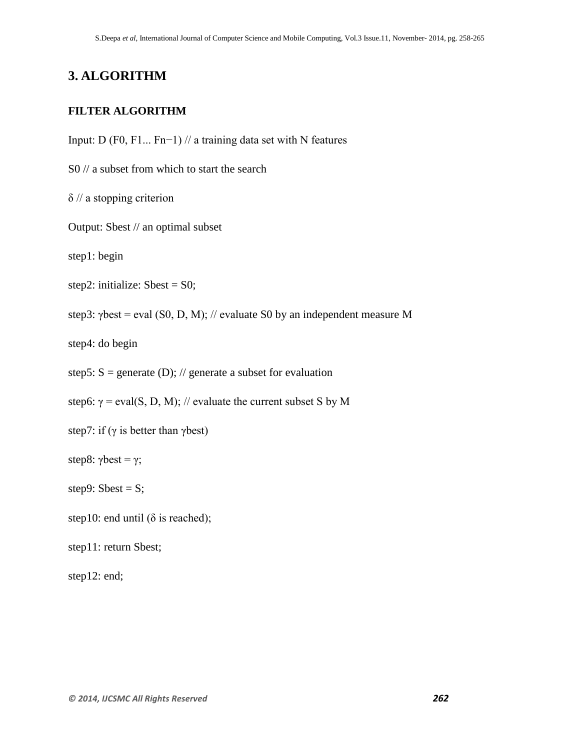# **3. ALGORITHM**

## **FILTER ALGORITHM**

Input: D (F0, F1... Fn−1) // a training data set with N features

S0 // a subset from which to start the search

 $\delta$  // a stopping criterion

Output: Sbest // an optimal subset

step1: begin

```
step2: initialize: Sbest = S0;
```
step3:  $\gamma$ best = eval (S0, D, M); // evaluate S0 by an independent measure M

step4: do begin

step5:  $S =$  generate (D); // generate a subset for evaluation

step6:  $\gamma$  = eval(S, D, M); // evaluate the current subset S by M

step7: if ( $\gamma$  is better than  $\gamma$ best)

step8: γbest = γ;

step9: Sbest =  $S$ ;

step10: end until ( $\delta$  is reached);

step11: return Sbest;

step12: end;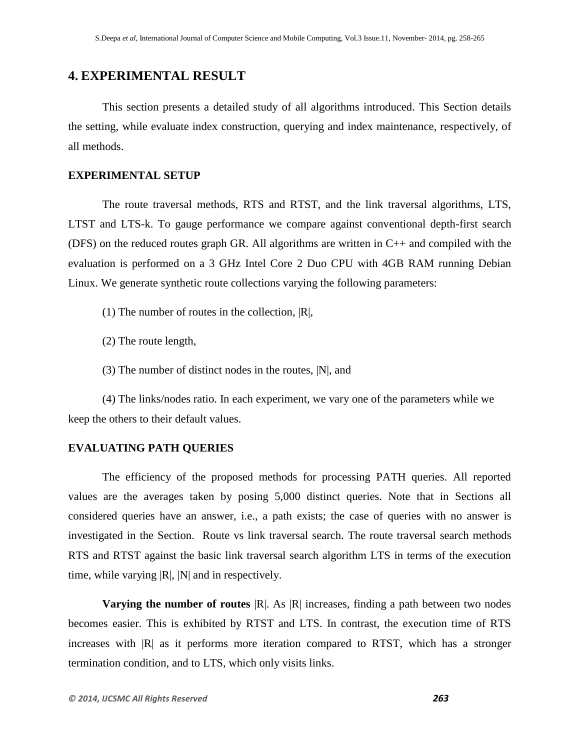# **4. EXPERIMENTAL RESULT**

This section presents a detailed study of all algorithms introduced. This Section details the setting, while evaluate index construction, querying and index maintenance, respectively, of all methods.

## **EXPERIMENTAL SETUP**

The route traversal methods, RTS and RTST, and the link traversal algorithms, LTS, LTST and LTS-k. To gauge performance we compare against conventional depth-first search (DFS) on the reduced routes graph GR. All algorithms are written in C++ and compiled with the evaluation is performed on a 3 GHz Intel Core 2 Duo CPU with 4GB RAM running Debian Linux. We generate synthetic route collections varying the following parameters:

- (1) The number of routes in the collection,  $|R|$ ,
- (2) The route length,
- (3) The number of distinct nodes in the routes, |N|, and

(4) The links/nodes ratio. In each experiment, we vary one of the parameters while we keep the others to their default values.

## **EVALUATING PATH QUERIES**

The efficiency of the proposed methods for processing PATH queries. All reported values are the averages taken by posing 5,000 distinct queries. Note that in Sections all considered queries have an answer, i.e., a path exists; the case of queries with no answer is investigated in the Section. Route vs link traversal search. The route traversal search methods RTS and RTST against the basic link traversal search algorithm LTS in terms of the execution time, while varying  $|R|$ ,  $|N|$  and in respectively.

**Varying the number of routes**  $|R|$ . As  $|R|$  increases, finding a path between two nodes becomes easier. This is exhibited by RTST and LTS. In contrast, the execution time of RTS increases with  $|R|$  as it performs more iteration compared to RTST, which has a stronger termination condition, and to LTS, which only visits links.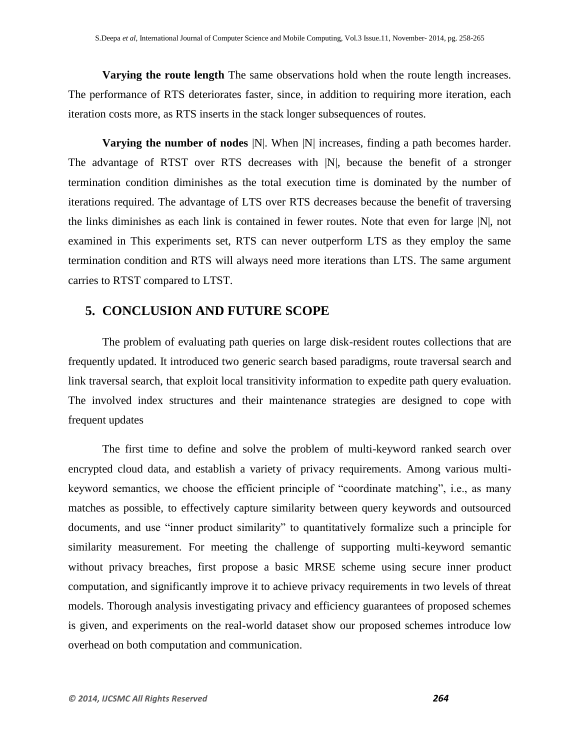**Varying the route length** The same observations hold when the route length increases. The performance of RTS deteriorates faster, since, in addition to requiring more iteration, each iteration costs more, as RTS inserts in the stack longer subsequences of routes.

**Varying the number of nodes**  $[N]$ . When  $[N]$  increases, finding a path becomes harder. The advantage of RTST over RTS decreases with |N|, because the benefit of a stronger termination condition diminishes as the total execution time is dominated by the number of iterations required. The advantage of LTS over RTS decreases because the benefit of traversing the links diminishes as each link is contained in fewer routes. Note that even for large |N|, not examined in This experiments set, RTS can never outperform LTS as they employ the same termination condition and RTS will always need more iterations than LTS. The same argument carries to RTST compared to LTST.

## **5. CONCLUSION AND FUTURE SCOPE**

The problem of evaluating path queries on large disk-resident routes collections that are frequently updated. It introduced two generic search based paradigms, route traversal search and link traversal search, that exploit local transitivity information to expedite path query evaluation. The involved index structures and their maintenance strategies are designed to cope with frequent updates

The first time to define and solve the problem of multi-keyword ranked search over encrypted cloud data, and establish a variety of privacy requirements. Among various multikeyword semantics, we choose the efficient principle of "coordinate matching", i.e., as many matches as possible, to effectively capture similarity between query keywords and outsourced documents, and use "inner product similarity" to quantitatively formalize such a principle for similarity measurement. For meeting the challenge of supporting multi-keyword semantic without privacy breaches, first propose a basic MRSE scheme using secure inner product computation, and significantly improve it to achieve privacy requirements in two levels of threat models. Thorough analysis investigating privacy and efficiency guarantees of proposed schemes is given, and experiments on the real-world dataset show our proposed schemes introduce low overhead on both computation and communication.